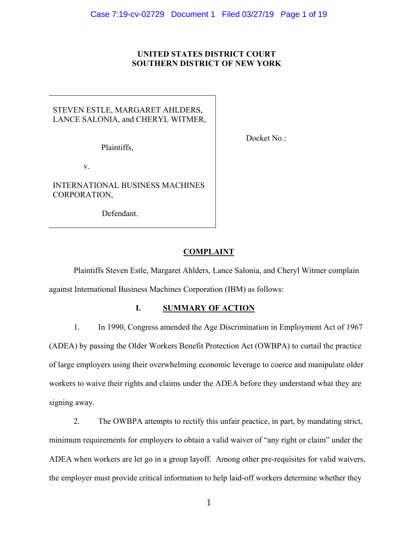## **UNITED STATES DISTRICT COURT SOUTHERN DISTRICT OF NEW YORK**

# STEVEN ESTLE, MARGARET AHLDERS, LANCE SALONIA, and CHERYL WITMER,

Plaintiffs,

v.

INTERNATIONAL BUSINESS MACHINES CORPORATION,

Defendant.

Docket No.:

# **COMPLAINT**

Plaintiffs Steven Estle, Margaret Ahlders, Lance Salonia, and Cheryl Witmer complain against International Business Machines Corporation (IBM) as follows:

# **I. SUMMARY OF ACTION**

1. In 1990, Congress amended the Age Discrimination in Employment Act of 1967 (ADEA) by passing the Older Workers Benefit Protection Act (OWBPA) to curtail the practice of large employers using their overwhelming economic leverage to coerce and manipulate older workers to waive their rights and claims under the ADEA before they understand what they are signing away.

2. The OWBPA attempts to rectify this unfair practice, in part, by mandating strict, minimum requirements for employers to obtain a valid waiver of "any right or claim" under the ADEA when workers are let go in a group layoff. Among other pre-requisites for valid waivers, the employer must provide critical information to help laid-off workers determine whether they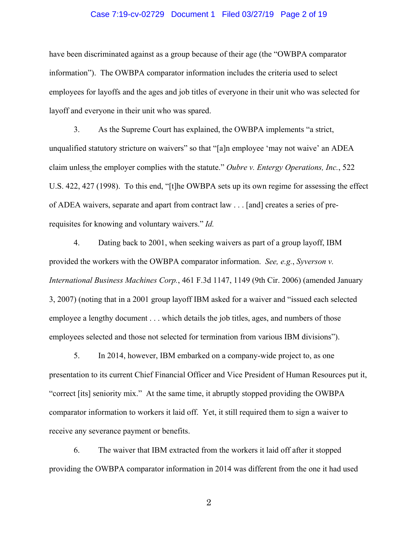### Case 7:19-cv-02729 Document 1 Filed 03/27/19 Page 2 of 19

have been discriminated against as a group because of their age (the "OWBPA comparator information"). The OWBPA comparator information includes the criteria used to select employees for layoffs and the ages and job titles of everyone in their unit who was selected for layoff and everyone in their unit who was spared.

3. As the Supreme Court has explained, the OWBPA implements "a strict, unqualified statutory stricture on waivers" so that "[a]n employee 'may not waive' an ADEA claim unless the employer complies with the statute." *Oubre v. Entergy Operations, Inc.*, 522 U.S. 422, 427 (1998). To this end, "[t]he OWBPA sets up its own regime for assessing the effect of ADEA waivers, separate and apart from contract law . . . [and] creates a series of prerequisites for knowing and voluntary waivers." *Id.*

4. Dating back to 2001, when seeking waivers as part of a group layoff, IBM provided the workers with the OWBPA comparator information. *See, e.g.*, *Syverson v. International Business Machines Corp.*, 461 F.3d 1147, 1149 (9th Cir. 2006) (amended January 3, 2007) (noting that in a 2001 group layoff IBM asked for a waiver and "issued each selected employee a lengthy document . . . which details the job titles, ages, and numbers of those employees selected and those not selected for termination from various IBM divisions").

5. In 2014, however, IBM embarked on a company-wide project to, as one presentation to its current Chief Financial Officer and Vice President of Human Resources put it, "correct [its] seniority mix." At the same time, it abruptly stopped providing the OWBPA comparator information to workers it laid off. Yet, it still required them to sign a waiver to receive any severance payment or benefits.

6. The waiver that IBM extracted from the workers it laid off after it stopped providing the OWBPA comparator information in 2014 was different from the one it had used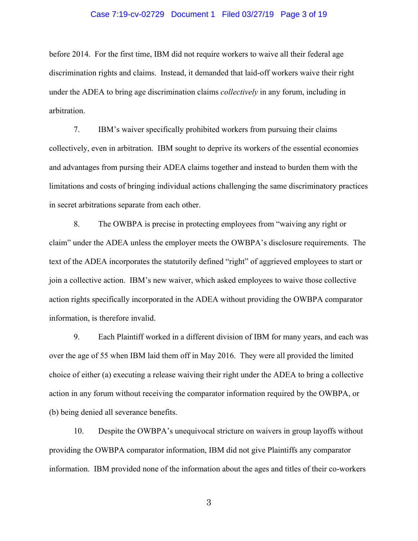### Case 7:19-cv-02729 Document 1 Filed 03/27/19 Page 3 of 19

before 2014. For the first time, IBM did not require workers to waive all their federal age discrimination rights and claims. Instead, it demanded that laid-off workers waive their right under the ADEA to bring age discrimination claims *collectively* in any forum, including in arbitration.

7. IBM's waiver specifically prohibited workers from pursuing their claims collectively, even in arbitration. IBM sought to deprive its workers of the essential economies and advantages from pursing their ADEA claims together and instead to burden them with the limitations and costs of bringing individual actions challenging the same discriminatory practices in secret arbitrations separate from each other.

8. The OWBPA is precise in protecting employees from "waiving any right or claim" under the ADEA unless the employer meets the OWBPA's disclosure requirements. The text of the ADEA incorporates the statutorily defined "right" of aggrieved employees to start or join a collective action. IBM's new waiver, which asked employees to waive those collective action rights specifically incorporated in the ADEA without providing the OWBPA comparator information, is therefore invalid.

9. Each Plaintiff worked in a different division of IBM for many years, and each was over the age of 55 when IBM laid them off in May 2016. They were all provided the limited choice of either (a) executing a release waiving their right under the ADEA to bring a collective action in any forum without receiving the comparator information required by the OWBPA, or (b) being denied all severance benefits.

10. Despite the OWBPA's unequivocal stricture on waivers in group layoffs without providing the OWBPA comparator information, IBM did not give Plaintiffs any comparator information. IBM provided none of the information about the ages and titles of their co-workers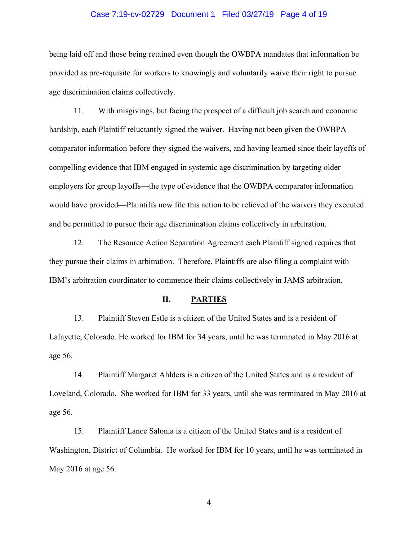### Case 7:19-cv-02729 Document 1 Filed 03/27/19 Page 4 of 19

being laid off and those being retained even though the OWBPA mandates that information be provided as pre-requisite for workers to knowingly and voluntarily waive their right to pursue age discrimination claims collectively.

11. With misgivings, but facing the prospect of a difficult job search and economic hardship, each Plaintiff reluctantly signed the waiver. Having not been given the OWBPA comparator information before they signed the waivers, and having learned since their layoffs of compelling evidence that IBM engaged in systemic age discrimination by targeting older employers for group layoffs—the type of evidence that the OWBPA comparator information would have provided—Plaintiffs now file this action to be relieved of the waivers they executed and be permitted to pursue their age discrimination claims collectively in arbitration.

12. The Resource Action Separation Agreement each Plaintiff signed requires that they pursue their claims in arbitration. Therefore, Plaintiffs are also filing a complaint with IBM's arbitration coordinator to commence their claims collectively in JAMS arbitration.

## **II. PARTIES**

13. Plaintiff Steven Estle is a citizen of the United States and is a resident of Lafayette, Colorado. He worked for IBM for 34 years, until he was terminated in May 2016 at age 56.

14. Plaintiff Margaret Ahlders is a citizen of the United States and is a resident of Loveland, Colorado. She worked for IBM for 33 years, until she was terminated in May 2016 at age 56.

15. Plaintiff Lance Salonia is a citizen of the United States and is a resident of Washington, District of Columbia. He worked for IBM for 10 years, until he was terminated in May 2016 at age 56.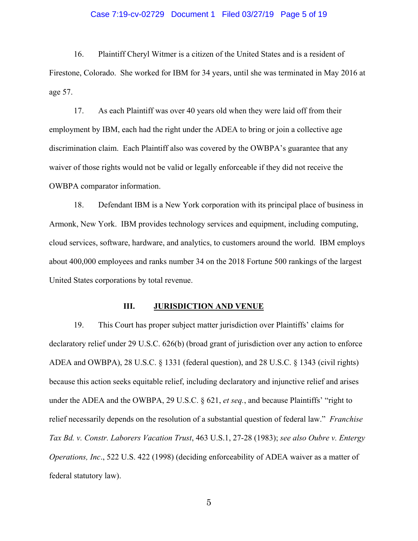### Case 7:19-cv-02729 Document 1 Filed 03/27/19 Page 5 of 19

16. Plaintiff Cheryl Witmer is a citizen of the United States and is a resident of Firestone, Colorado. She worked for IBM for 34 years, until she was terminated in May 2016 at age 57.

17. As each Plaintiff was over 40 years old when they were laid off from their employment by IBM, each had the right under the ADEA to bring or join a collective age discrimination claim. Each Plaintiff also was covered by the OWBPA's guarantee that any waiver of those rights would not be valid or legally enforceable if they did not receive the OWBPA comparator information.

18. Defendant IBM is a New York corporation with its principal place of business in Armonk, New York. IBM provides technology services and equipment, including computing, cloud services, software, hardware, and analytics, to customers around the world. IBM employs about 400,000 employees and ranks number 34 on the 2018 Fortune 500 rankings of the largest United States corporations by total revenue.

## **III.** JURISDICTION AND VENUE

19. This Court has proper subject matter jurisdiction over Plaintiffs' claims for declaratory relief under 29 U.S.C. 626(b) (broad grant of jurisdiction over any action to enforce ADEA and OWBPA), 28 U.S.C. § 1331 (federal question), and 28 U.S.C. § 1343 (civil rights) because this action seeks equitable relief, including declaratory and injunctive relief and arises under the ADEA and the OWBPA, 29 U.S.C. § 621, *et seq.*, and because Plaintiffs' "right to relief necessarily depends on the resolution of a substantial question of federal law." *Franchise Tax Bd. v. Constr. Laborers Vacation Trust*, 463 U.S.1, 27-28 (1983); *see also Oubre v. Entergy Operations, Inc*., 522 U.S. 422 (1998) (deciding enforceability of ADEA waiver as a matter of federal statutory law).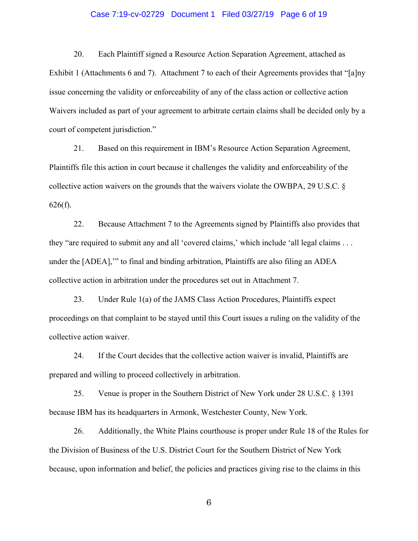### Case 7:19-cv-02729 Document 1 Filed 03/27/19 Page 6 of 19

20. Each Plaintiff signed a Resource Action Separation Agreement, attached as Exhibit 1 (Attachments 6 and 7). Attachment 7 to each of their Agreements provides that "[a]ny issue concerning the validity or enforceability of any of the class action or collective action Waivers included as part of your agreement to arbitrate certain claims shall be decided only by a court of competent jurisdiction."

21. Based on this requirement in IBM's Resource Action Separation Agreement, Plaintiffs file this action in court because it challenges the validity and enforceability of the collective action waivers on the grounds that the waivers violate the OWBPA, 29 U.S.C. §  $626(f)$ .

22. Because Attachment 7 to the Agreements signed by Plaintiffs also provides that they "are required to submit any and all 'covered claims,' which include 'all legal claims . . . under the [ADEA],'" to final and binding arbitration, Plaintiffs are also filing an ADEA collective action in arbitration under the procedures set out in Attachment 7.

23. Under Rule 1(a) of the JAMS Class Action Procedures, Plaintiffs expect proceedings on that complaint to be stayed until this Court issues a ruling on the validity of the collective action waiver.

24. If the Court decides that the collective action waiver is invalid, Plaintiffs are prepared and willing to proceed collectively in arbitration.

25. Venue is proper in the Southern District of New York under 28 U.S.C. § 1391 because IBM has its headquarters in Armonk, Westchester County, New York.

26. Additionally, the White Plains courthouse is proper under Rule 18 of the Rules for the Division of Business of the U.S. District Court for the Southern District of New York because, upon information and belief, the policies and practices giving rise to the claims in this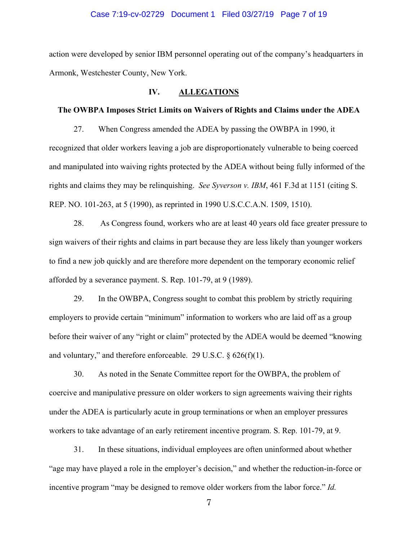### Case 7:19-cv-02729 Document 1 Filed 03/27/19 Page 7 of 19

action were developed by senior IBM personnel operating out of the company's headquarters in Armonk, Westchester County, New York.

#### **IV. ALLEGATIONS**

#### **The OWBPA Imposes Strict Limits on Waivers of Rights and Claims under the ADEA**

27. When Congress amended the ADEA by passing the OWBPA in 1990, it recognized that older workers leaving a job are disproportionately vulnerable to being coerced and manipulated into waiving rights protected by the ADEA without being fully informed of the rights and claims they may be relinquishing. *See Syverson v. IBM*, 461 F.3d at 1151 (citing S. REP. NO. 101-263, at 5 (1990), as reprinted in 1990 U.S.C.C.A.N. 1509, 1510).

28. As Congress found, workers who are at least 40 years old face greater pressure to sign waivers of their rights and claims in part because they are less likely than younger workers to find a new job quickly and are therefore more dependent on the temporary economic relief afforded by a severance payment. S. Rep. 101-79, at 9 (1989).

29. In the OWBPA, Congress sought to combat this problem by strictly requiring employers to provide certain "minimum" information to workers who are laid off as a group before their waiver of any "right or claim" protected by the ADEA would be deemed "knowing and voluntary," and therefore enforceable. 29 U.S.C.  $\S$  626(f)(1).

30. As noted in the Senate Committee report for the OWBPA, the problem of coercive and manipulative pressure on older workers to sign agreements waiving their rights under the ADEA is particularly acute in group terminations or when an employer pressures workers to take advantage of an early retirement incentive program. S. Rep. 101-79, at 9.

31. In these situations, individual employees are often uninformed about whether "age may have played a role in the employer's decision," and whether the reduction-in-force or incentive program "may be designed to remove older workers from the labor force." *Id.*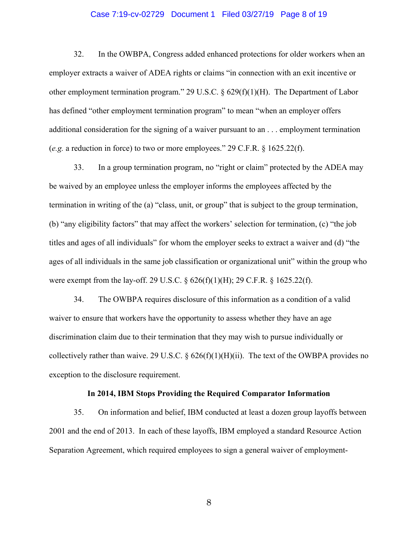### Case 7:19-cv-02729 Document 1 Filed 03/27/19 Page 8 of 19

32. In the OWBPA, Congress added enhanced protections for older workers when an employer extracts a waiver of ADEA rights or claims "in connection with an exit incentive or other employment termination program." 29 U.S.C. § 629(f)(1)(H). The Department of Labor has defined "other employment termination program" to mean "when an employer offers additional consideration for the signing of a waiver pursuant to an . . . employment termination (*e.g.* a reduction in force) to two or more employees." 29 C.F.R. § 1625.22(f).

33. In a group termination program, no "right or claim" protected by the ADEA may be waived by an employee unless the employer informs the employees affected by the termination in writing of the (a) "class, unit, or group" that is subject to the group termination, (b) "any eligibility factors" that may affect the workers' selection for termination, (c) "the job titles and ages of all individuals" for whom the employer seeks to extract a waiver and (d) "the ages of all individuals in the same job classification or organizational unit" within the group who were exempt from the lay-off. 29 U.S.C. § 626(f)(1)(H); 29 C.F.R. § 1625.22(f).

34. The OWBPA requires disclosure of this information as a condition of a valid waiver to ensure that workers have the opportunity to assess whether they have an age discrimination claim due to their termination that they may wish to pursue individually or collectively rather than waive. 29 U.S.C. §  $626(f)(1)(H)(ii)$ . The text of the OWBPA provides no exception to the disclosure requirement.

### **In 2014, IBM Stops Providing the Required Comparator Information**

35. On information and belief, IBM conducted at least a dozen group layoffs between 2001 and the end of 2013. In each of these layoffs, IBM employed a standard Resource Action Separation Agreement, which required employees to sign a general waiver of employment-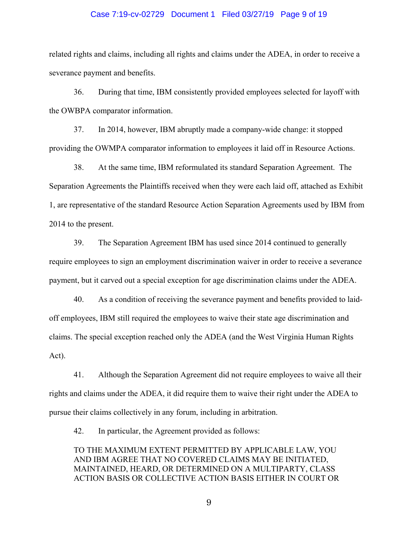### Case 7:19-cv-02729 Document 1 Filed 03/27/19 Page 9 of 19

related rights and claims, including all rights and claims under the ADEA, in order to receive a severance payment and benefits.

36. During that time, IBM consistently provided employees selected for layoff with the OWBPA comparator information.

37. In 2014, however, IBM abruptly made a company-wide change: it stopped providing the OWMPA comparator information to employees it laid off in Resource Actions.

38. At the same time, IBM reformulated its standard Separation Agreement. The Separation Agreements the Plaintiffs received when they were each laid off, attached as Exhibit 1, are representative of the standard Resource Action Separation Agreements used by IBM from 2014 to the present.

39. The Separation Agreement IBM has used since 2014 continued to generally require employees to sign an employment discrimination waiver in order to receive a severance payment, but it carved out a special exception for age discrimination claims under the ADEA.

40. As a condition of receiving the severance payment and benefits provided to laidoff employees, IBM still required the employees to waive their state age discrimination and claims. The special exception reached only the ADEA (and the West Virginia Human Rights Act).

41. Although the Separation Agreement did not require employees to waive all their rights and claims under the ADEA, it did require them to waive their right under the ADEA to pursue their claims collectively in any forum, including in arbitration.

42. In particular, the Agreement provided as follows:

TO THE MAXIMUM EXTENT PERMITTED BY APPLICABLE LAW, YOU AND IBM AGREE THAT NO COVERED CLAIMS MAY BE INITIATED, MAINTAINED, HEARD, OR DETERMINED ON A MULTIPARTY, CLASS ACTION BASIS OR COLLECTIVE ACTION BASIS EITHER IN COURT OR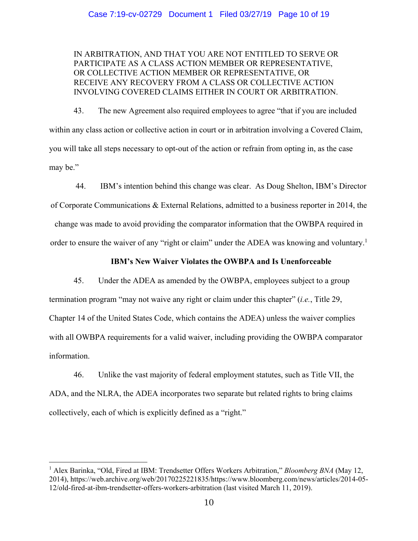## Case 7:19-cv-02729 Document 1 Filed 03/27/19 Page 10 of 19

## IN ARBITRATION, AND THAT YOU ARE NOT ENTITLED TO SERVE OR PARTICIPATE AS A CLASS ACTION MEMBER OR REPRESENTATIVE, OR COLLECTIVE ACTION MEMBER OR REPRESENTATIVE, OR RECEIVE ANY RECOVERY FROM A CLASS OR COLLECTIVE ACTION INVOLVING COVERED CLAIMS EITHER IN COURT OR ARBITRATION.

43. The new Agreement also required employees to agree "that if you are included within any class action or collective action in court or in arbitration involving a Covered Claim, you will take all steps necessary to opt-out of the action or refrain from opting in, as the case may be."

44. IBM's intention behind this change was clear. As Doug Shelton, IBM's Director of Corporate Communications & External Relations, admitted to a business reporter in 2014, the change was made to avoid providing the comparator information that the OWBPA required in order to ensure the waiver of any "right or claim" under the ADEA was knowing and voluntary.<sup>1</sup>

## **IBM's New Waiver Violates the OWBPA and Is Unenforceable**

45. Under the ADEA as amended by the OWBPA, employees subject to a group termination program "may not waive any right or claim under this chapter" (*i.e.*, Title 29, Chapter 14 of the United States Code, which contains the ADEA) unless the waiver complies with all OWBPA requirements for a valid waiver, including providing the OWBPA comparator information.

46. Unlike the vast majority of federal employment statutes, such as Title VII, the ADA, and the NLRA, the ADEA incorporates two separate but related rights to bring claims collectively, each of which is explicitly defined as a "right."

<sup>&</sup>lt;sup>1</sup> Alex Barinka, "Old, Fired at IBM: Trendsetter Offers Workers Arbitration," *Bloomberg BNA* (May 12, 2014), https://web.archive.org/web/20170225221835/https://www.bloomberg.com/news/articles/2014-05- 12/old-fired-at-ibm-trendsetter-offers-workers-arbitration (last visited March 11, 2019).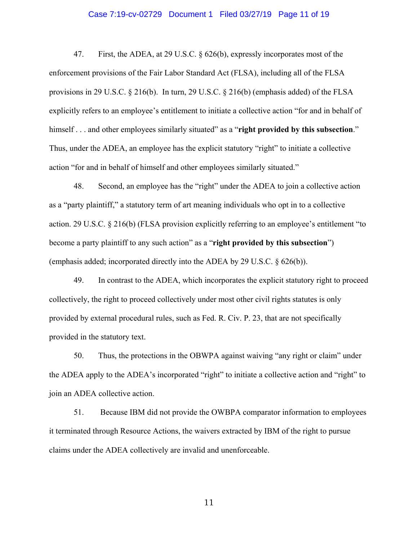### Case 7:19-cv-02729 Document 1 Filed 03/27/19 Page 11 of 19

47. First, the ADEA, at 29 U.S.C. § 626(b), expressly incorporates most of the enforcement provisions of the Fair Labor Standard Act (FLSA), including all of the FLSA provisions in 29 U.S.C. § 216(b). In turn, 29 U.S.C. § 216(b) (emphasis added) of the FLSA explicitly refers to an employee's entitlement to initiate a collective action "for and in behalf of himself... and other employees similarly situated" as a "**right provided by this subsection**." Thus, under the ADEA, an employee has the explicit statutory "right" to initiate a collective action "for and in behalf of himself and other employees similarly situated."

48. Second, an employee has the "right" under the ADEA to join a collective action as a "party plaintiff," a statutory term of art meaning individuals who opt in to a collective action. 29 U.S.C. § 216(b) (FLSA provision explicitly referring to an employee's entitlement "to become a party plaintiff to any such action" as a "**right provided by this subsection**") (emphasis added; incorporated directly into the ADEA by 29 U.S.C. § 626(b)).

49. In contrast to the ADEA, which incorporates the explicit statutory right to proceed collectively, the right to proceed collectively under most other civil rights statutes is only provided by external procedural rules, such as Fed. R. Civ. P. 23, that are not specifically provided in the statutory text.

50. Thus, the protections in the OBWPA against waiving "any right or claim" under the ADEA apply to the ADEA's incorporated "right" to initiate a collective action and "right" to join an ADEA collective action.

51. Because IBM did not provide the OWBPA comparator information to employees it terminated through Resource Actions, the waivers extracted by IBM of the right to pursue claims under the ADEA collectively are invalid and unenforceable.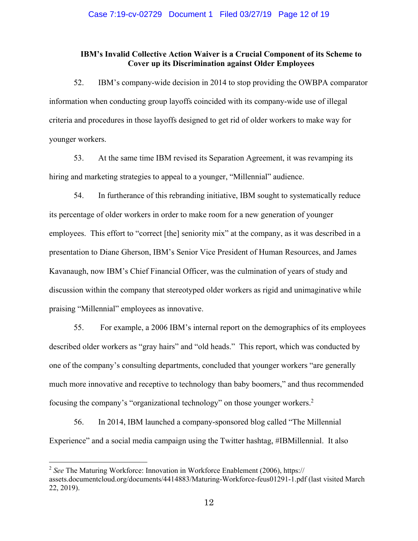## **IBM's Invalid Collective Action Waiver is a Crucial Component of its Scheme to Cover up its Discrimination against Older Employees**

52. IBM's company-wide decision in 2014 to stop providing the OWBPA comparator information when conducting group layoffs coincided with its company-wide use of illegal criteria and procedures in those layoffs designed to get rid of older workers to make way for younger workers.

53. At the same time IBM revised its Separation Agreement, it was revamping its hiring and marketing strategies to appeal to a younger, "Millennial" audience.

54. In furtherance of this rebranding initiative, IBM sought to systematically reduce its percentage of older workers in order to make room for a new generation of younger employees. This effort to "correct [the] seniority mix" at the company, as it was described in a presentation to Diane Gherson, IBM's Senior Vice President of Human Resources, and James Kavanaugh, now IBM's Chief Financial Officer, was the culmination of years of study and discussion within the company that stereotyped older workers as rigid and unimaginative while praising "Millennial" employees as innovative.

55. For example, a 2006 IBM's internal report on the demographics of its employees described older workers as "gray hairs" and "old heads." This report, which was conducted by one of the company's consulting departments, concluded that younger workers "are generally much more innovative and receptive to technology than baby boomers," and thus recommended focusing the company's "organizational technology" on those younger workers.<sup>2</sup>

56. In 2014, IBM launched a company-sponsored blog called "The Millennial Experience" and a social media campaign using the Twitter hashtag, #IBMillennial. It also

<sup>2</sup> *See* The Maturing Workforce: Innovation in Workforce Enablement (2006), https:// assets.documentcloud.org/documents/4414883/Maturing-Workforce-feus01291-1.pdf (last visited March 22, 2019).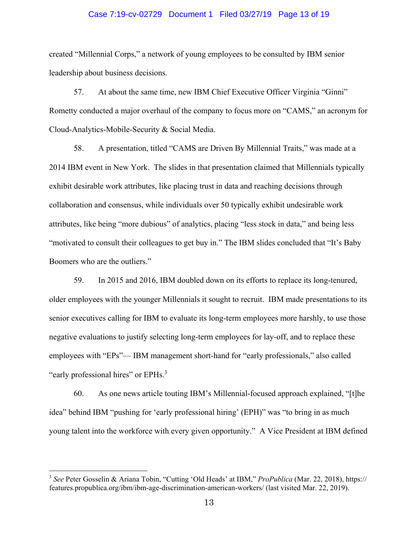#### Case 7:19-cv-02729 Document 1 Filed 03/27/19 Page 13 of 19

created "Millennial Corps," a network of young employees to be consulted by IBM senior leadership about business decisions.

57. At about the same time, new IBM Chief Executive Officer Virginia "Ginni" Rometty conducted a major overhaul of the company to focus more on "CAMS," an acronym for Cloud-Analytics-Mobile-Security & Social Media.

58. A presentation, titled "CAMS are Driven By Millennial Traits," was made at a 2014 IBM event in New York. The slides in that presentation claimed that Millennials typically exhibit desirable work attributes, like placing trust in data and reaching decisions through collaboration and consensus, while individuals over 50 typically exhibit undesirable work attributes, like being "more dubious" of analytics, placing "less stock in data," and being less "motivated to consult their colleagues to get buy in." The IBM slides concluded that "It's Baby Boomers who are the outliers."

59. In 2015 and 2016, IBM doubled down on its efforts to replace its long-tenured, older employees with the younger Millennials it sought to recruit. IBM made presentations to its senior executives calling for IBM to evaluate its long-term employees more harshly, to use those negative evaluations to justify selecting long-term employees for lay-off, and to replace these employees with "EPs"— IBM management short-hand for "early professionals," also called "early professional hires" or EPHs.<sup>3</sup>

60. As one news article touting IBM's Millennial-focused approach explained, "[t]he idea" behind IBM "pushing for 'early professional hiring' (EPH)" was "to bring in as much young talent into the workforce with every given opportunity." A Vice President at IBM defined

<sup>3</sup> *See* Peter Gosselin & Ariana Tobin, "Cutting 'Old Heads' at IBM," *ProPublica* (Mar. 22, 2018), https:// features.propublica.org/ibm/ibm-age-discrimination-american-workers/ (last visited Mar. 22, 2019).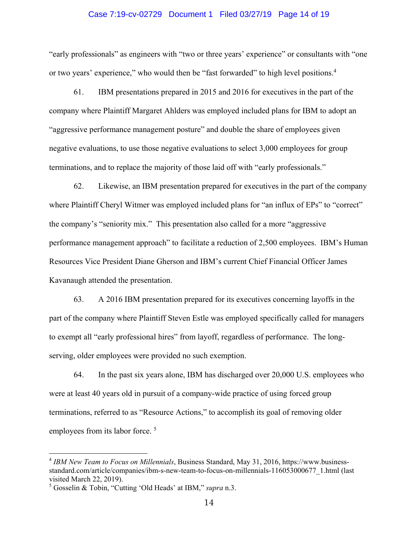### Case 7:19-cv-02729 Document 1 Filed 03/27/19 Page 14 of 19

"early professionals" as engineers with "two or three years' experience" or consultants with "one or two years' experience," who would then be "fast forwarded" to high level positions.<sup>4</sup>

61. IBM presentations prepared in 2015 and 2016 for executives in the part of the company where Plaintiff Margaret Ahlders was employed included plans for IBM to adopt an "aggressive performance management posture" and double the share of employees given negative evaluations, to use those negative evaluations to select 3,000 employees for group terminations, and to replace the majority of those laid off with "early professionals."

62. Likewise, an IBM presentation prepared for executives in the part of the company where Plaintiff Cheryl Witmer was employed included plans for "an influx of EPs" to "correct" the company's "seniority mix." This presentation also called for a more "aggressive performance management approach" to facilitate a reduction of 2,500 employees. IBM's Human Resources Vice President Diane Gherson and IBM's current Chief Financial Officer James Kavanaugh attended the presentation.

63. A 2016 IBM presentation prepared for its executives concerning layoffs in the part of the company where Plaintiff Steven Estle was employed specifically called for managers to exempt all "early professional hires" from layoff, regardless of performance. The longserving, older employees were provided no such exemption.

64. In the past six years alone, IBM has discharged over 20,000 U.S. employees who were at least 40 years old in pursuit of a company-wide practice of using forced group terminations, referred to as "Resource Actions," to accomplish its goal of removing older employees from its labor force.<sup>5</sup>

<sup>4</sup> *IBM New Team to Focus on Millennials*, Business Standard, May 31, 2016, https://www.businessstandard.com/article/companies/ibm-s-new-team-to-focus-on-millennials-116053000677\_1.html (last visited March 22, 2019).

<sup>5</sup> Gosselin & Tobin, "Cutting 'Old Heads' at IBM," *supra* n.3.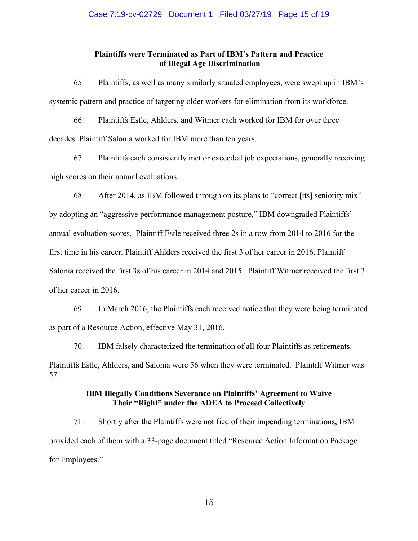## **Plaintiffs were Terminated as Part of IBM's Pattern and Practice of Illegal Age Discrimination**

65. Plaintiffs, as well as many similarly situated employees, were swept up in IBM's systemic pattern and practice of targeting older workers for elimination from its workforce.

66. Plaintiffs Estle, Ahlders, and Witmer each worked for IBM for over three decades. Plaintiff Salonia worked for IBM more than ten years.

67. Plaintiffs each consistently met or exceeded job expectations, generally receiving high scores on their annual evaluations.

68. After 2014, as IBM followed through on its plans to "correct [its] seniority mix" by adopting an "aggressive performance management posture," IBM downgraded Plaintiffs' annual evaluation scores. Plaintiff Estle received three 2s in a row from 2014 to 2016 for the first time in his career. Plaintiff Ahlders received the first 3 of her career in 2016. Plaintiff Salonia received the first 3s of his career in 2014 and 2015. Plaintiff Witmer received the first 3 of her career in 2016.

69. In March 2016, the Plaintiffs each received notice that they were being terminated as part of a Resource Action, effective May 31, 2016.

70. IBM falsely characterized the termination of all four Plaintiffs as retirements. Plaintiffs Estle, Ahlders, and Salonia were 56 when they were terminated. Plaintiff Witmer was 57.

## **IBM Illegally Conditions Severance on Plaintiffs' Agreement to Waive Their "Right" under the ADEA to Proceed Collectively**

71. Shortly after the Plaintiffs were notified of their impending terminations, IBM provided each of them with a 33-page document titled "Resource Action Information Package for Employees."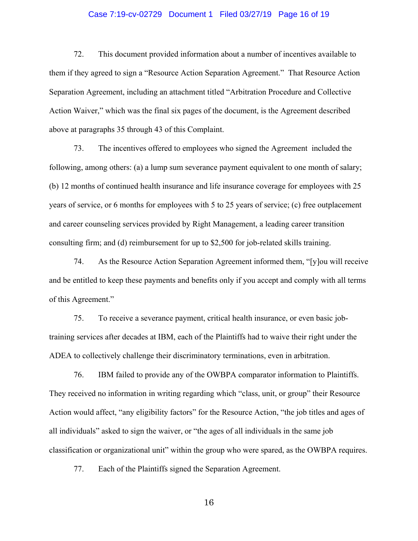### Case 7:19-cv-02729 Document 1 Filed 03/27/19 Page 16 of 19

72. This document provided information about a number of incentives available to them if they agreed to sign a "Resource Action Separation Agreement." That Resource Action Separation Agreement, including an attachment titled "Arbitration Procedure and Collective Action Waiver," which was the final six pages of the document, is the Agreement described above at paragraphs 35 through 43 of this Complaint.

73. The incentives offered to employees who signed the Agreement included the following, among others: (a) a lump sum severance payment equivalent to one month of salary; (b) 12 months of continued health insurance and life insurance coverage for employees with 25 years of service, or 6 months for employees with 5 to 25 years of service; (c) free outplacement and career counseling services provided by Right Management, a leading career transition consulting firm; and (d) reimbursement for up to \$2,500 for job-related skills training.

74. As the Resource Action Separation Agreement informed them, "[y]ou will receive and be entitled to keep these payments and benefits only if you accept and comply with all terms of this Agreement."

75. To receive a severance payment, critical health insurance, or even basic jobtraining services after decades at IBM, each of the Plaintiffs had to waive their right under the ADEA to collectively challenge their discriminatory terminations, even in arbitration.

76. IBM failed to provide any of the OWBPA comparator information to Plaintiffs. They received no information in writing regarding which "class, unit, or group" their Resource Action would affect, "any eligibility factors" for the Resource Action, "the job titles and ages of all individuals" asked to sign the waiver, or "the ages of all individuals in the same job classification or organizational unit" within the group who were spared, as the OWBPA requires.

77. Each of the Plaintiffs signed the Separation Agreement.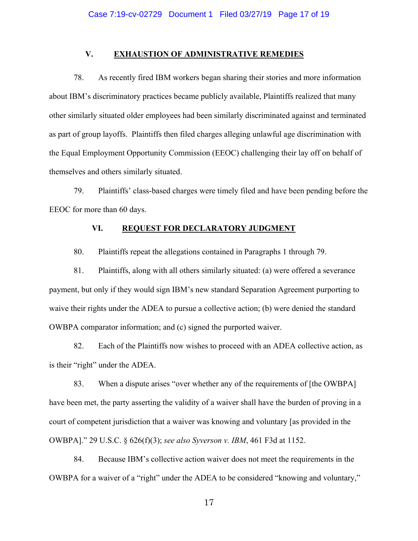#### **V. EXHAUSTION OF ADMINISTRATIVE REMEDIES**

78. As recently fired IBM workers began sharing their stories and more information about IBM's discriminatory practices became publicly available, Plaintiffs realized that many other similarly situated older employees had been similarly discriminated against and terminated as part of group layoffs. Plaintiffs then filed charges alleging unlawful age discrimination with the Equal Employment Opportunity Commission (EEOC) challenging their lay off on behalf of themselves and others similarly situated.

79. Plaintiffs' class-based charges were timely filed and have been pending before the EEOC for more than 60 days.

## **VI. REQUEST FOR DECLARATORY JUDGMENT**

80. Plaintiffs repeat the allegations contained in Paragraphs 1 through 79.

81. Plaintiffs, along with all others similarly situated: (a) were offered a severance payment, but only if they would sign IBM's new standard Separation Agreement purporting to waive their rights under the ADEA to pursue a collective action; (b) were denied the standard OWBPA comparator information; and (c) signed the purported waiver.

82. Each of the Plaintiffs now wishes to proceed with an ADEA collective action, as is their "right" under the ADEA.

83. When a dispute arises "over whether any of the requirements of [the OWBPA] have been met, the party asserting the validity of a waiver shall have the burden of proving in a court of competent jurisdiction that a waiver was knowing and voluntary [as provided in the OWBPA]." 29 U.S.C. § 626(f)(3); *see also Syverson v. IBM*, 461 F3d at 1152.

84. Because IBM's collective action waiver does not meet the requirements in the OWBPA for a waiver of a "right" under the ADEA to be considered "knowing and voluntary,"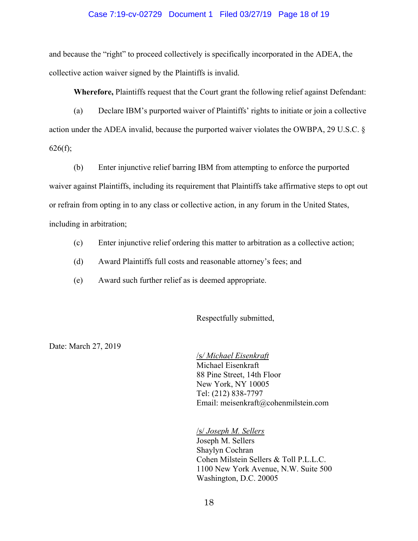### Case 7:19-cv-02729 Document 1 Filed 03/27/19 Page 18 of 19

and because the "right" to proceed collectively is specifically incorporated in the ADEA, the collective action waiver signed by the Plaintiffs is invalid.

**Wherefore,** Plaintiffs request that the Court grant the following relief against Defendant:

(a) Declare IBM's purported waiver of Plaintiffs' rights to initiate or join a collective action under the ADEA invalid, because the purported waiver violates the OWBPA, 29 U.S.C. §  $626(f);$ 

(b) Enter injunctive relief barring IBM from attempting to enforce the purported waiver against Plaintiffs, including its requirement that Plaintiffs take affirmative steps to opt out or refrain from opting in to any class or collective action, in any forum in the United States, including in arbitration;

- (c) Enter injunctive relief ordering this matter to arbitration as a collective action;
- (d) Award Plaintiffs full costs and reasonable attorney's fees; and
- (e) Award such further relief as is deemed appropriate.

Respectfully submitted,

Date: March 27, 2019

/s*/ Michael Eisenkraft* Michael Eisenkraft 88 Pine Street, 14th Floor New York, NY 10005 Tel: (212) 838-7797 Email: meisenkraft@cohenmilstein.com

/s/ *Joseph M. Sellers* Joseph M. Sellers Shaylyn Cochran Cohen Milstein Sellers & Toll P.L.L.C. 1100 New York Avenue, N.W. Suite 500 Washington, D.C. 20005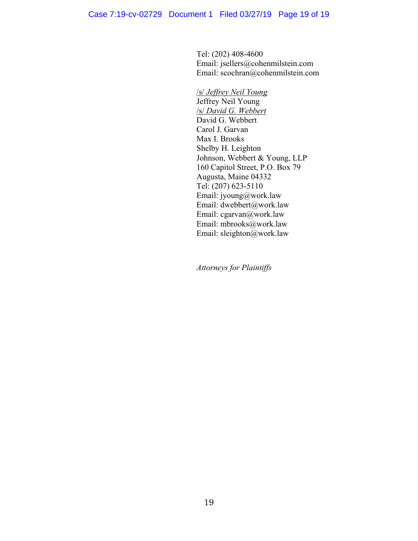Tel: (202) 408-4600 Email: jsellers@cohenmilstein.com Email: scochran@cohenmilstein.com

/s/ *Jeffrey Neil Young* Jeffrey Neil Young /s/ *David G. Webbert* David G. Webbert Carol J. Garvan Max I. Brooks Shelby H. Leighton Johnson, Webbert & Young, LLP 160 Capitol Street, P.O. Box 79 Augusta, Maine 04332 Tel: (207) 623-5110 Email: jyoung@work.law Email: dwebbert@work.law Email: cgarvan@work.law Email: mbrooks@work.law Email: sleighton@work.law

*Attorneys for Plaintiffs*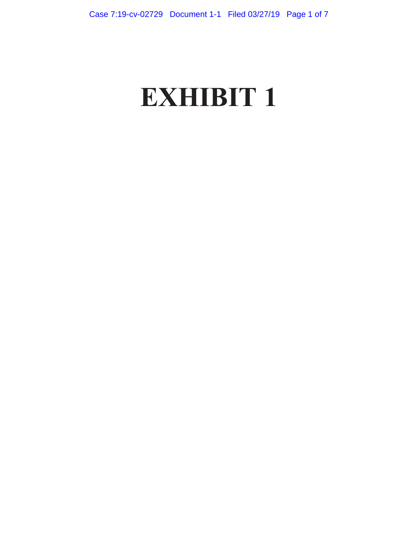# **EXHIBIT 1**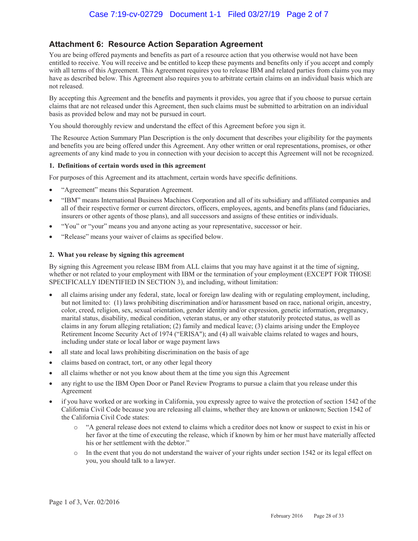# **Attachment 6: Resource Action Separation Agreement**

You are being offered payments and benefits as part of a resource action that you otherwise would not have been entitled to receive. You will receive and be entitled to keep these payments and benefits only if you accept and comply with all terms of this Agreement. This Agreement requires you to release IBM and related parties from claims you may have as described below. This Agreement also requires you to arbitrate certain claims on an individual basis which are not released.

By accepting this Agreement and the benefits and payments it provides, you agree that if you choose to pursue certain claims that are not released under this Agreement, then such claims must be submitted to arbitration on an individual basis as provided below and may not be pursued in court.

You should thoroughly review and understand the effect of this Agreement before you sign it.

 The Resource Action Summary Plan Description is the only document that describes your eligibility for the payments and benefits you are being offered under this Agreement. Any other written or oral representations, promises, or other agreements of any kind made to you in connection with your decision to accept this Agreement will not be recognized.

#### **1. Definitions of certain words used in this agreement**

For purposes of this Agreement and its attachment, certain words have specific definitions.

- "Agreement" means this Separation Agreement.
- x "IBM" means International Business Machines Corporation and all of its subsidiary and affiliated companies and all of their respective former or current directors, officers, employees, agents, and benefits plans (and fiduciaries, insurers or other agents of those plans), and all successors and assigns of these entities or individuals.
- "You" or "your" means you and anyone acting as your representative, successor or heir.
- "Release" means your waiver of claims as specified below.

#### **2. What you release by signing this agreement**

By signing this Agreement you release IBM from ALL claims that you may have against it at the time of signing, whether or not related to your employment with IBM or the termination of your employment (EXCEPT FOR THOSE SPECIFICALLY IDENTIFIED IN SECTION 3), and including, without limitation:

- all claims arising under any federal, state, local or foreign law dealing with or regulating employment, including, but not limited to: (1) laws prohibiting discrimination and/or harassment based on race, national origin, ancestry, color, creed, religion, sex, sexual orientation, gender identity and/or expression, genetic information, pregnancy, marital status, disability, medical condition, veteran status, or any other statutorily protected status, as well as claims in any forum alleging retaliation; (2) family and medical leave; (3) claims arising under the Employee Retirement Income Security Act of 1974 ("ERISA"); and (4) all waivable claims related to wages and hours, including under state or local labor or wage payment laws
- all state and local laws prohibiting discrimination on the basis of age
- claims based on contract, tort, or any other legal theory
- all claims whether or not you know about them at the time you sign this Agreement
- any right to use the IBM Open Door or Panel Review Programs to pursue a claim that you release under this Agreement
- if you have worked or are working in California, you expressly agree to waive the protection of section 1542 of the California Civil Code because you are releasing all claims, whether they are known or unknown; Section 1542 of the California Civil Code states:
	- o "A general release does not extend to claims which a creditor does not know or suspect to exist in his or her favor at the time of executing the release, which if known by him or her must have materially affected his or her settlement with the debtor."
	- o In the event that you do not understand the waiver of your rights under section 1542 or its legal effect on you, you should talk to a lawyer.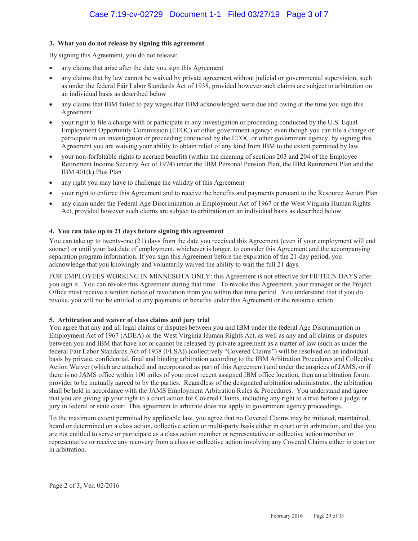### **3. What you do not release by signing this agreement**

By signing this Agreement, you do not release:

- any claims that arise after the date you sign this Agreement
- any claims that by law cannot be waived by private agreement without judicial or governmental supervision, such as under the federal Fair Labor Standards Act of 1938, provided however such claims are subject to arbitration on an individual basis as described below
- any claims that IBM failed to pay wages that IBM acknowledged were due and owing at the time you sign this Agreement
- your right to file a charge with or participate in any investigation or proceeding conducted by the U.S. Equal Employment Opportunity Commission (EEOC) or other government agency; even though you can file a charge or participate in an investigation or proceeding conducted by the EEOC or other government agency, by signing this Agreement you are waiving your ability to obtain relief of any kind from IBM to the extent permitted by law
- your non-forfeitable rights to accrued benefits (within the meaning of sections 203 and 204 of the Employee Retirement Income Security Act of 1974) under the IBM Personal Pension Plan, the IBM Retirement Plan and the IBM 401(k) Plus Plan
- any right you may have to challenge the validity of this Agreement
- x your right to enforce this Agreement and to receive the benefits and payments pursuant to the Resource Action Plan
- any claim under the Federal Age Discrimination in Employment Act of 1967 or the West Virginia Human Rights Act, provided however such claims are subject to arbitration on an individual basis as described below

#### **4. You can take up to 21 days before signing this agreement**

You can take up to twenty-one (21) days from the date you received this Agreement (even if your employment will end sooner) or until your last date of employment, whichever is longer, to consider this Agreement and the accompanying separation program information. If you sign this Agreement before the expiration of the 21-day period, you acknowledge that you knowingly and voluntarily waived the ability to wait the full 21 days.

FOR EMPLOYEES WORKING IN MINNESOTA ONLY: this Agreement is not effective for FIFTEEN DAYS after you sign it. You can revoke this Agreement during that time. To revoke this Agreement, your manager or the Project Office must receive a written notice of revocation from you within that time period. You understand that if you do revoke, you will not be entitled to any payments or benefits under this Agreement or the resource action.

#### **5. Arbitration and waiver of class claims and jury trial**

You agree that any and all legal claims or disputes between you and IBM under the federal Age Discrimination in Employment Act of 1967 (ADEA) or the West Virginia Human Rights Act, as well as any and all claims or disputes between you and IBM that have not or cannot be released by private agreement as a matter of law (such as under the federal Fair Labor Standards Act of 1938 (FLSA)) (collectively "Covered Claims") will be resolved on an individual basis by private, confidential, final and binding arbitration according to the IBM Arbitration Procedures and Collective Action Waiver (which are attached and incorporated as part of this Agreement) and under the auspices of JAMS, or if there is no JAMS office within 100 miles of your most recent assigned IBM office location, then an arbitration forum provider to be mutually agreed to by the parties. Regardless of the designated arbitration administrator, the arbitration shall be held in accordance with the JAMS Employment Arbitration Rules & Procedures. You understand and agree that you are giving up your right to a court action for Covered Claims, including any right to a trial before a judge or jury in federal or state court. This agreement to arbitrate does not apply to government agency proceedings.

To the maximum extent permitted by applicable law, you agree that no Covered Claims may be initiated, maintained, heard or determined on a class action, collective action or multi-party basis either in court or in arbitration, and that you are not entitled to serve or participate as a class action member or representative or collective action member or representative or receive any recovery from a class or collective action involving any Covered Claims either in court or in arbitration.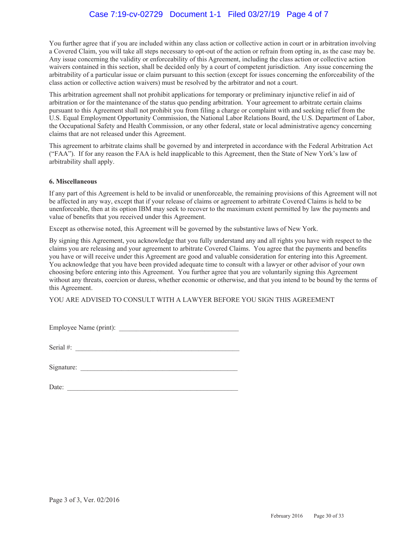## Case 7:19-cv-02729 Document 1-1 Filed 03/27/19 Page 4 of 7

You further agree that if you are included within any class action or collective action in court or in arbitration involving a Covered Claim, you will take all steps necessary to opt-out of the action or refrain from opting in, as the case may be. Any issue concerning the validity or enforceability of this Agreement, including the class action or collective action waivers contained in this section, shall be decided only by a court of competent jurisdiction. Any issue concerning the arbitrability of a particular issue or claim pursuant to this section (except for issues concerning the enforceability of the class action or collective action waivers) must be resolved by the arbitrator and not a court.

This arbitration agreement shall not prohibit applications for temporary or preliminary injunctive relief in aid of arbitration or for the maintenance of the status quo pending arbitration. Your agreement to arbitrate certain claims pursuant to this Agreement shall not prohibit you from filing a charge or complaint with and seeking relief from the U.S. Equal Employment Opportunity Commission, the National Labor Relations Board, the U.S. Department of Labor, the Occupational Safety and Health Commission, or any other federal, state or local administrative agency concerning claims that are not released under this Agreement.

This agreement to arbitrate claims shall be governed by and interpreted in accordance with the Federal Arbitration Act ("FAA"). If for any reason the FAA is held inapplicable to this Agreement, then the State of New York's law of arbitrability shall apply.

#### **6. Miscellaneous**

If any part of this Agreement is held to be invalid or unenforceable, the remaining provisions of this Agreement will not be affected in any way, except that if your release of claims or agreement to arbitrate Covered Claims is held to be unenforceable, then at its option IBM may seek to recover to the maximum extent permitted by law the payments and value of benefits that you received under this Agreement.

Except as otherwise noted, this Agreement will be governed by the substantive laws of New York.

By signing this Agreement, you acknowledge that you fully understand any and all rights you have with respect to the claims you are releasing and your agreement to arbitrate Covered Claims. You agree that the payments and benefits you have or will receive under this Agreement are good and valuable consideration for entering into this Agreement. You acknowledge that you have been provided adequate time to consult with a lawyer or other advisor of your own choosing before entering into this Agreement. You further agree that you are voluntarily signing this Agreement without any threats, coercion or duress, whether economic or otherwise, and that you intend to be bound by the terms of this Agreement.

YOU ARE ADVISED TO CONSULT WITH A LAWYER BEFORE YOU SIGN THIS AGREEMENT

Employee Name (print):

Serial  $\#$ :

| Signature: |  |  |  |
|------------|--|--|--|
|            |  |  |  |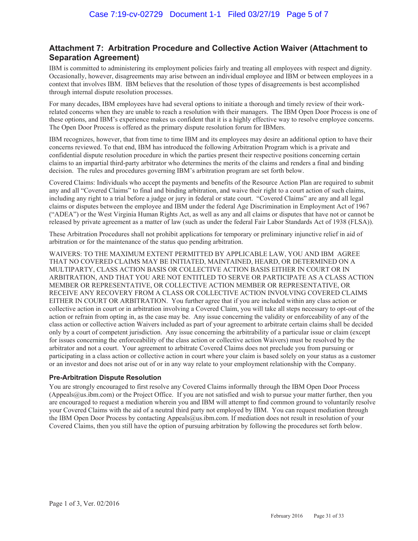# **Attachment 7: Arbitration Procedure and Collective Action Waiver (Attachment to Separation Agreement)**

IBM is committed to administering its employment policies fairly and treating all employees with respect and dignity. Occasionally, however, disagreements may arise between an individual employee and IBM or between employees in a context that involves IBM. IBM believes that the resolution of those types of disagreements is best accomplished through internal dispute resolution processes.

For many decades, IBM employees have had several options to initiate a thorough and timely review of their workrelated concerns when they are unable to reach a resolution with their managers. The IBM Open Door Process is one of these options, and IBM's experience makes us confident that it is a highly effective way to resolve employee concerns. The Open Door Process is offered as the primary dispute resolution forum for IBMers.

IBM recognizes, however, that from time to time IBM and its employees may desire an additional option to have their concerns reviewed. To that end, IBM has introduced the following Arbitration Program which is a private and confidential dispute resolution procedure in which the parties present their respective positions concerning certain claims to an impartial third-party arbitrator who determines the merits of the claims and renders a final and binding decision. The rules and procedures governing IBM's arbitration program are set forth below.

Covered Claims: Individuals who accept the payments and benefits of the Resource Action Plan are required to submit any and all "Covered Claims" to final and binding arbitration, and waive their right to a court action of such claims, including any right to a trial before a judge or jury in federal or state court. "Covered Claims" are any and all legal claims or disputes between the employee and IBM under the federal Age Discrimination in Employment Act of 1967 ("ADEA") or the West Virginia Human Rights Act, as well as any and all claims or disputes that have not or cannot be released by private agreement as a matter of law (such as under the federal Fair Labor Standards Act of 1938 (FLSA)).

These Arbitration Procedures shall not prohibit applications for temporary or preliminary injunctive relief in aid of arbitration or for the maintenance of the status quo pending arbitration.

WAIVERS: TO THE MAXIMUM EXTENT PERMITTED BY APPLICABLE LAW, YOU AND IBM AGREE THAT NO COVERED CLAIMS MAY BE INITIATED, MAINTAINED, HEARD, OR DETERMINED ON A MULTIPARTY, CLASS ACTION BASIS OR COLLECTIVE ACTION BASIS EITHER IN COURT OR IN ARBITRATION, AND THAT YOU ARE NOT ENTITLED TO SERVE OR PARTICIPATE AS A CLASS ACTION MEMBER OR REPRESENTATIVE, OR COLLECTIVE ACTION MEMBER OR REPRESENTATIVE, OR RECEIVE ANY RECOVERY FROM A CLASS OR COLLECTIVE ACTION INVOLVING COVERED CLAIMS EITHER IN COURT OR ARBITRATION. You further agree that if you are included within any class action or collective action in court or in arbitration involving a Covered Claim, you will take all steps necessary to opt-out of the action or refrain from opting in, as the case may be. Any issue concerning the validity or enforceability of any of the class action or collective action Waivers included as part of your agreement to arbitrate certain claims shall be decided only by a court of competent jurisdiction. Any issue concerning the arbitrability of a particular issue or claim (except for issues concerning the enforceability of the class action or collective action Waivers) must be resolved by the arbitrator and not a court. Your agreement to arbitrate Covered Claims does not preclude you from pursuing or participating in a class action or collective action in court where your claim is based solely on your status as a customer or an investor and does not arise out of or in any way relate to your employment relationship with the Company.

## **Pre-Arbitration Dispute Resolution**

You are strongly encouraged to first resolve any Covered Claims informally through the IBM Open Door Process (Appeals $@u$ s.ibm.com) or the Project Office. If you are not satisfied and wish to pursue your matter further, then you are encouraged to request a mediation wherein you and IBM will attempt to find common ground to voluntarily resolve your Covered Claims with the aid of a neutral third party not employed by IBM. You can request mediation through the IBM Open Door Process by contacting Appeals@us.ibm.com. If mediation does not result in resolution of your Covered Claims, then you still have the option of pursuing arbitration by following the procedures set forth below.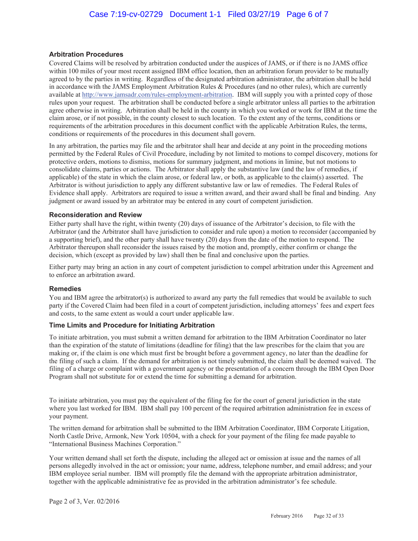#### **Arbitration Procedures**

Covered Claims will be resolved by arbitration conducted under the auspices of JAMS, or if there is no JAMS office within 100 miles of your most recent assigned IBM office location, then an arbitration forum provider to be mutually agreed to by the parties in writing. Regardless of the designated arbitration administrator, the arbitration shall be held in accordance with the JAMS Employment Arbitration Rules & Procedures (and no other rules), which are currently available at http://www.jamsadr.com/rules-employment-arbitration. IBM will supply you with a printed copy of those rules upon your request. The arbitration shall be conducted before a single arbitrator unless all parties to the arbitration agree otherwise in writing. Arbitration shall be held in the county in which you worked or work for IBM at the time the claim arose, or if not possible, in the county closest to such location. To the extent any of the terms, conditions or requirements of the arbitration procedures in this document conflict with the applicable Arbitration Rules, the terms, conditions or requirements of the procedures in this document shall govern.

In any arbitration, the parties may file and the arbitrator shall hear and decide at any point in the proceeding motions permitted by the Federal Rules of Civil Procedure, including by not limited to motions to compel discovery, motions for protective orders, motions to dismiss, motions for summary judgment, and motions in limine, but not motions to consolidate claims, parties or actions. The Arbitrator shall apply the substantive law (and the law of remedies, if applicable) of the state in which the claim arose, or federal law, or both, as applicable to the claim(s) asserted. The Arbitrator is without jurisdiction to apply any different substantive law or law of remedies. The Federal Rules of Evidence shall apply. Arbitrators are required to issue a written award, and their award shall be final and binding. Any judgment or award issued by an arbitrator may be entered in any court of competent jurisdiction.

#### **Reconsideration and Review**

Either party shall have the right, within twenty (20) days of issuance of the Arbitrator's decision, to file with the Arbitrator (and the Arbitrator shall have jurisdiction to consider and rule upon) a motion to reconsider (accompanied by a supporting brief), and the other party shall have twenty (20) days from the date of the motion to respond. The Arbitrator thereupon shall reconsider the issues raised by the motion and, promptly, either confirm or change the decision, which (except as provided by law) shall then be final and conclusive upon the parties.

Either party may bring an action in any court of competent jurisdiction to compel arbitration under this Agreement and to enforce an arbitration award.

#### **Remedies**

You and IBM agree the arbitrator(s) is authorized to award any party the full remedies that would be available to such party if the Covered Claim had been filed in a court of competent jurisdiction, including attorneys' fees and expert fees and costs, to the same extent as would a court under applicable law.

#### **Time Limits and Procedure for Initiating Arbitration**

To initiate arbitration, you must submit a written demand for arbitration to the IBM Arbitration Coordinator no later than the expiration of the statute of limitations (deadline for filing) that the law prescribes for the claim that you are making or, if the claim is one which must first be brought before a government agency, no later than the deadline for the filing of such a claim. If the demand for arbitration is not timely submitted, the claim shall be deemed waived. The filing of a charge or complaint with a government agency or the presentation of a concern through the IBM Open Door Program shall not substitute for or extend the time for submitting a demand for arbitration.

To initiate arbitration, you must pay the equivalent of the filing fee for the court of general jurisdiction in the state where you last worked for IBM. IBM shall pay 100 percent of the required arbitration administration fee in excess of your payment.

The written demand for arbitration shall be submitted to the IBM Arbitration Coordinator, IBM Corporate Litigation, North Castle Drive, Armonk, New York 10504, with a check for your payment of the filing fee made payable to "International Business Machines Corporation."

Your written demand shall set forth the dispute, including the alleged act or omission at issue and the names of all persons allegedly involved in the act or omission; your name, address, telephone number, and email address; and your IBM employee serial number. IBM will promptly file the demand with the appropriate arbitration administrator, together with the applicable administrative fee as provided in the arbitration administrator's fee schedule.